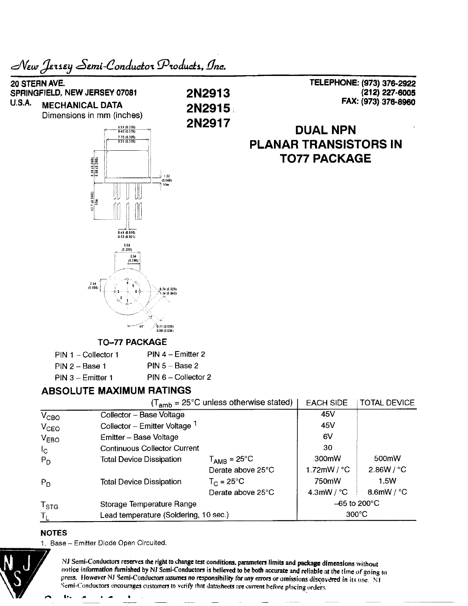

## NOTES

1. Base - Emitter Diode Open Circuited.



**NJ Semi-Conductors reserves the right to change test conditions, parameters limits and package dimensions without** notice information furnished by NJ Semi-Conductors is believed to be both accurate and reliable at the time of going to **press. However NJ Semi-Conductors assumes no responsibility for any errors or omissions discovered in its use. NI Semi-Conductors encourages customers to verify that datasheets are current before plncing orders.**